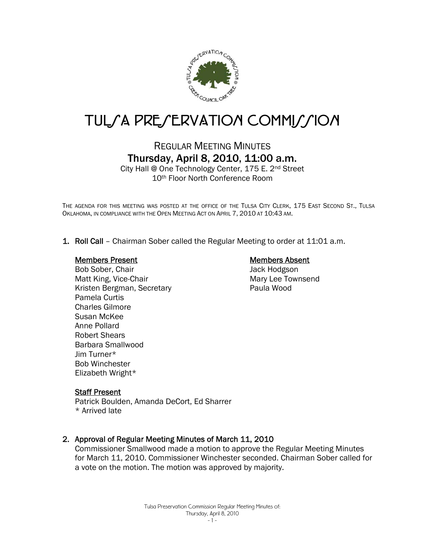

# TUL/A PRE/ERVATION COMMI//ION

# REGULAR MEETING MINUTES Thursday, April 8, 2010, 11:00 a.m.

City Hall @ One Technology Center, 175 E. 2nd Street 10th Floor North Conference Room

THE AGENDA FOR THIS MEETING WAS POSTED AT THE OFFICE OF THE TULSA CITY CLERK, 175 EAST SECOND ST., TULSA OKLAHOMA, IN COMPLIANCE WITH THE OPEN MEETING ACT ON APRIL 7, 2010 AT 10:43 AM.

1. Roll Call – Chairman Sober called the Regular Meeting to order at 11:01 a.m.

#### Members Present

#### Bob Sober, Chair Matt King, Vice-Chair Kristen Bergman, Secretary Pamela Curtis Charles Gilmore Susan McKee Anne Pollard Robert Shears Barbara Smallwood Jim Turner\* Bob Winchester Elizabeth Wright\*

### Members Absent

Jack Hodgson Mary Lee Townsend Paula Wood

#### Staff Present

Patrick Boulden, Amanda DeCort, Ed Sharrer \* Arrived late

# 2. Approval of Regular Meeting Minutes of March 11, 2010

Commissioner Smallwood made a motion to approve the Regular Meeting Minutes for March 11, 2010. Commissioner Winchester seconded. Chairman Sober called for a vote on the motion. The motion was approved by majority.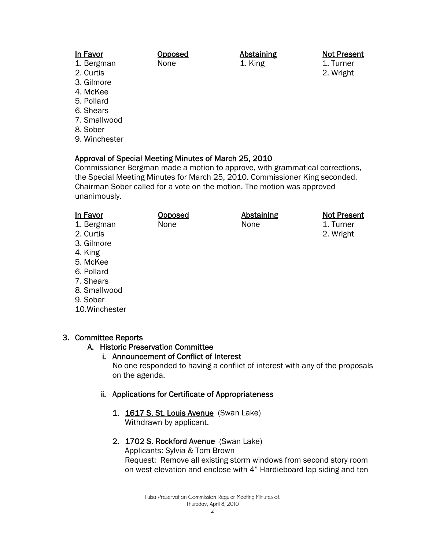### In Favor

#### 1. Bergman

2. Curtis

- 3. Gilmore
- 4. McKee
- 5. Pollard
- 6. Shears
- 7. Smallwood
- 8. Sober
- 9. Winchester

# Approval of Special Meeting Minutes of March 25, 2010

Opposed None

Commissioner Bergman made a motion to approve, with grammatical corrections, the Special Meeting Minutes for March 25, 2010. Commissioner King seconded. Chairman Sober called for a vote on the motion. The motion was approved unanimously.

Abstaining 1. King

| In Favor     | <b>Opposed</b> | <b>Abstaining</b> | <b>Not Present</b> |
|--------------|----------------|-------------------|--------------------|
| 1. Bergman   | None           | None              | 1. Turner          |
| 2. Curtis    |                |                   | 2. Wright          |
| 3. Gilmore   |                |                   |                    |
| 4. King      |                |                   |                    |
| 5. McKee     |                |                   |                    |
| 6. Pollard   |                |                   |                    |
| 7. Shears    |                |                   |                    |
| 8. Smallwood |                |                   |                    |
| 9. Sober     |                |                   |                    |

10.Winchester

#### 3. Committee Reports A. Historic Preservation Committee

# i. Announcement of Conflict of Interest No one responded to having a conflict of interest with any of the proposals on the agenda.

# ii. Applications for Certificate of Appropriateness

1. 1617 S. St. Louis Avenue (Swan Lake) Withdrawn by applicant.

# 2. 1702 S. Rockford Avenue (Swan Lake)

Applicants: Sylvia & Tom Brown Request: Remove all existing storm windows from second story room on west elevation and enclose with 4" Hardieboard lap siding and ten

Not Present

1. Turner 2. Wright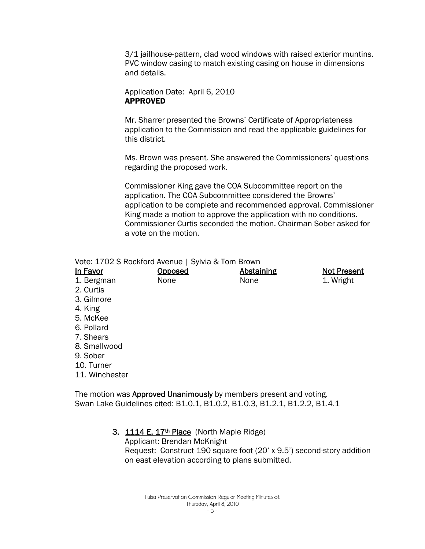3/1 jailhouse-pattern, clad wood windows with raised exterior muntins. PVC window casing to match existing casing on house in dimensions and details.

Application Date: April 6, 2010 APPROVED

Mr. Sharrer presented the Browns' Certificate of Appropriateness application to the Commission and read the applicable guidelines for this district.

Ms. Brown was present. She answered the Commissioners' questions regarding the proposed work.

Commissioner King gave the COA Subcommittee report on the application. The COA Subcommittee considered the Browns' application to be complete and recommended approval. Commissioner King made a motion to approve the application with no conditions. Commissioner Curtis seconded the motion. Chairman Sober asked for a vote on the motion.

|  | Vote: 1702 S Rockford Avenue   Sylvia & Tom Brown |  |
|--|---------------------------------------------------|--|
|--|---------------------------------------------------|--|

| <b>In Favor</b> | <u>Opposed</u> | <b>Abstaining</b> | <b>Not Present</b> |
|-----------------|----------------|-------------------|--------------------|
| 1. Bergman      | None           | None              | 1. Wright          |
| 2. Curtis       |                |                   |                    |
| 3. Gilmore      |                |                   |                    |
| 4. King         |                |                   |                    |
| 5. McKee        |                |                   |                    |
| 6. Pollard      |                |                   |                    |
| 7. Shears       |                |                   |                    |
| 8. Smallwood    |                |                   |                    |
| 9. Sober        |                |                   |                    |
| 10. Turner      |                |                   |                    |
| 11. Winchester  |                |                   |                    |

The motion was Approved Unanimously by members present and voting. Swan Lake Guidelines cited: B1.0.1, B1.0.2, B1.0.3, B1.2.1, B1.2.2, B1.4.1

3. 1114 E. 17<sup>th</sup> Place (North Maple Ridge)

Applicant: Brendan McKnight Request: Construct 190 square foot (20' x 9.5') second-story addition on east elevation according to plans submitted.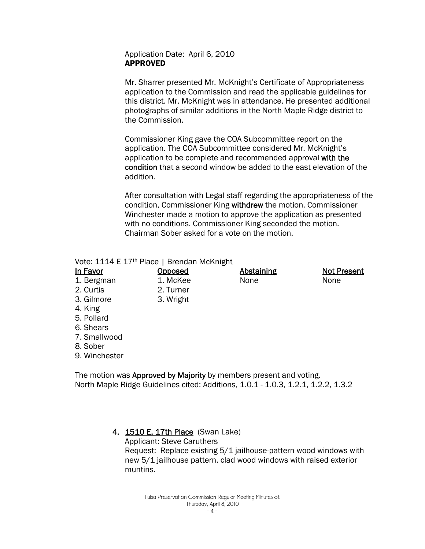#### Application Date: April 6, 2010 APPROVED

Mr. Sharrer presented Mr. McKnight's Certificate of Appropriateness application to the Commission and read the applicable guidelines for this district. Mr. McKnight was in attendance. He presented additional photographs of similar additions in the North Maple Ridge district to the Commission.

Commissioner King gave the COA Subcommittee report on the application. The COA Subcommittee considered Mr. McKnight's application to be complete and recommended approval with the condition that a second window be added to the east elevation of the addition.

After consultation with Legal staff regarding the appropriateness of the condition, Commissioner King withdrew the motion. Commissioner Winchester made a motion to approve the application as presented with no conditions. Commissioner King seconded the motion. Chairman Sober asked for a vote on the motion.

#### Vote: 1114 E 17th Place | Brendan McKnight

| <b>Opposed</b> | <b>Abstaining</b> | Not Present |
|----------------|-------------------|-------------|
| 1. McKee       | None              | None        |
| 2. Turner      |                   |             |
| 3. Wright      |                   |             |
|                |                   |             |
|                |                   |             |
|                |                   |             |
|                |                   |             |
|                |                   |             |
|                |                   |             |
|                |                   |             |

The motion was **Approved by Majority** by members present and voting. North Maple Ridge Guidelines cited: Additions, 1.0.1 - 1.0.3, 1.2.1, 1.2.2, 1.3.2

# 4. 1510 E. 17th Place (Swan Lake)

Applicant: Steve Caruthers Request: Replace existing 5/1 jailhouse-pattern wood windows with new 5/1 jailhouse pattern, clad wood windows with raised exterior muntins.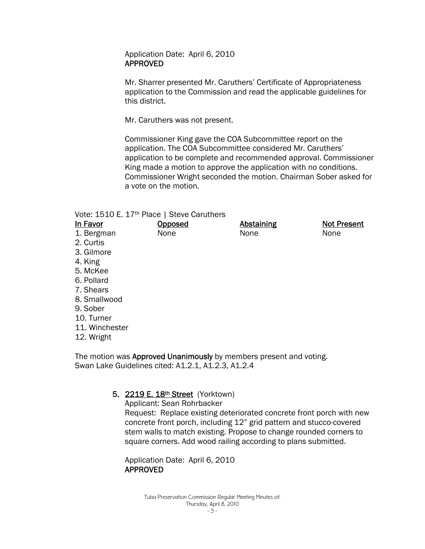Application Date: April 6, 2010 APPROVED

Mr. Sharrer presented Mr. Caruthers' Certificate of Appropriateness application to the Commission and read the applicable guidelines for this district.

Mr. Caruthers was not present.

Commissioner King gave the COA Subcommittee report on the application. The COA Subcommittee considered Mr. Caruthers' application to be complete and recommended approval. Commissioner King made a motion to approve the application with no conditions. Commissioner Wright seconded the motion. Chairman Sober asked for a vote on the motion.

| Vote: 1510 E. 17 <sup>th</sup> Place   Steve Caruthers |  |
|--------------------------------------------------------|--|
|--------------------------------------------------------|--|

| In Favor       | <b>Opposed</b> | <b>Abstaining</b> | <b>Not Present</b> |
|----------------|----------------|-------------------|--------------------|
| 1. Bergman     | None           | None              | None               |
| 2. Curtis      |                |                   |                    |
| 3. Gilmore     |                |                   |                    |
| 4. King        |                |                   |                    |
| 5. McKee       |                |                   |                    |
| 6. Pollard     |                |                   |                    |
| 7. Shears      |                |                   |                    |
| 8. Smallwood   |                |                   |                    |
| 9. Sober       |                |                   |                    |
| 10. Turner     |                |                   |                    |
| 11. Winchester |                |                   |                    |
| 12. Wright     |                |                   |                    |

The motion was **Approved Unanimously** by members present and voting. Swan Lake Guidelines cited: A1.2.1, A1.2.3, A1.2.4

# 5. 2219 E. 18th Street (Yorktown)

Applicant: Sean Rohrbacker Request: Replace existing deteriorated concrete front porch with new concrete front porch, including 12" grid pattern and stucco-covered stem walls to match existing. Propose to change rounded corners to square corners. Add wood railing according to plans submitted.

Application Date: April 6, 2010 APPROVED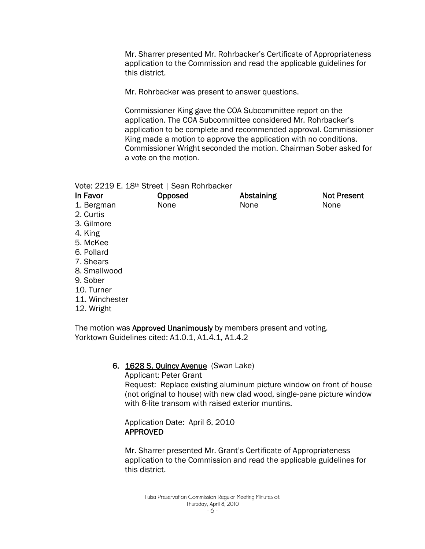Mr. Sharrer presented Mr. Rohrbacker's Certificate of Appropriateness application to the Commission and read the applicable guidelines for this district.

Mr. Rohrbacker was present to answer questions.

Commissioner King gave the COA Subcommittee report on the application. The COA Subcommittee considered Mr. Rohrbacker's application to be complete and recommended approval. Commissioner King made a motion to approve the application with no conditions. Commissioner Wright seconded the motion. Chairman Sober asked for a vote on the motion.

Vote: 2219 E. 18th Street | Sean Rohrbacker

| In Favor       | Opposed | <b>Abstaining</b> | <b>Not Present</b> |
|----------------|---------|-------------------|--------------------|
| 1. Bergman     | None    | None              | None               |
| 2. Curtis      |         |                   |                    |
| 3. Gilmore     |         |                   |                    |
| 4. King        |         |                   |                    |
| 5. McKee       |         |                   |                    |
| 6. Pollard     |         |                   |                    |
| 7. Shears      |         |                   |                    |
| 8. Smallwood   |         |                   |                    |
| 9. Sober       |         |                   |                    |
| 10. Turner     |         |                   |                    |
| 11. Winchester |         |                   |                    |
| 12. Wright     |         |                   |                    |

The motion was Approved Unanimously by members present and voting. Yorktown Guidelines cited: A1.0.1, A1.4.1, A1.4.2

#### 6. 1628 S. Quincy Avenue (Swan Lake)

Applicant: Peter Grant Request: Replace existing aluminum picture window on front of house (not original to house) with new clad wood, single-pane picture window with 6-lite transom with raised exterior muntins.

Application Date: April 6, 2010 APPROVED

Mr. Sharrer presented Mr. Grant's Certificate of Appropriateness application to the Commission and read the applicable guidelines for this district.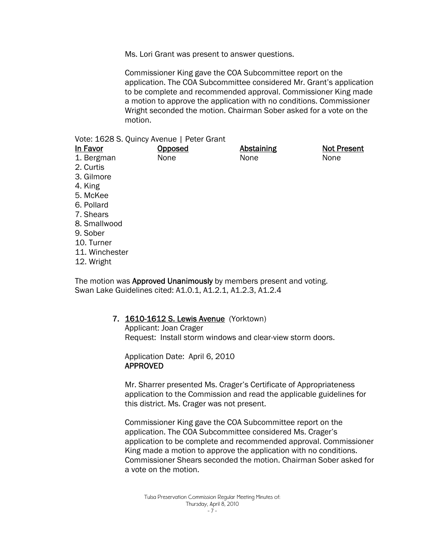Ms. Lori Grant was present to answer questions.

Commissioner King gave the COA Subcommittee report on the application. The COA Subcommittee considered Mr. Grant's application to be complete and recommended approval. Commissioner King made a motion to approve the application with no conditions. Commissioner Wright seconded the motion. Chairman Sober asked for a vote on the motion.

#### Vote: 1628 S. Quincy Avenue | Peter Grant

| In Favor       | <b>Opposed</b> | <b>Abstaining</b> | <b>Not Present</b> |
|----------------|----------------|-------------------|--------------------|
| 1. Bergman     | None           | None              | None               |
| 2. Curtis      |                |                   |                    |
| 3. Gilmore     |                |                   |                    |
| 4. King        |                |                   |                    |
| 5. McKee       |                |                   |                    |
| 6. Pollard     |                |                   |                    |
| 7. Shears      |                |                   |                    |
| 8. Smallwood   |                |                   |                    |
| 9. Sober       |                |                   |                    |
| 10. Turner     |                |                   |                    |
| 11. Winchester |                |                   |                    |
| 12. Wright     |                |                   |                    |

The motion was **Approved Unanimously** by members present and voting. Swan Lake Guidelines cited: A1.0.1, A1.2.1, A1.2.3, A1.2.4

# 7. **1610-1612 S. Lewis Avenue** (Yorktown)

Applicant: Joan Crager Request: Install storm windows and clear-view storm doors.

Application Date: April 6, 2010 APPROVED

Mr. Sharrer presented Ms. Crager's Certificate of Appropriateness application to the Commission and read the applicable guidelines for this district. Ms. Crager was not present.

Commissioner King gave the COA Subcommittee report on the application. The COA Subcommittee considered Ms. Crager's application to be complete and recommended approval. Commissioner King made a motion to approve the application with no conditions. Commissioner Shears seconded the motion. Chairman Sober asked for a vote on the motion.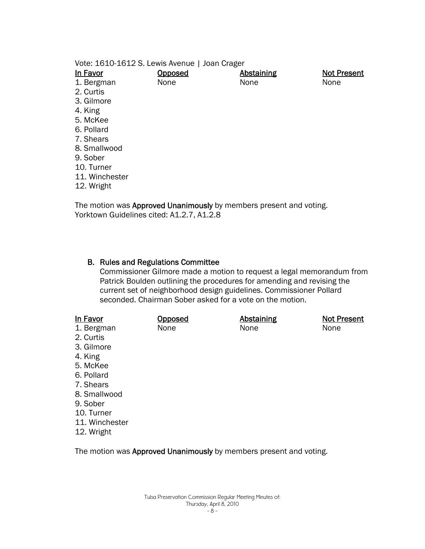Vote: 1610-1612 S. Lewis Avenue | Joan Crager

| In Favor       | <b>Opposed</b> | <b>Abstaining</b> | <b>Not Present</b> |
|----------------|----------------|-------------------|--------------------|
| 1. Bergman     | None           | None              | None               |
| 2. Curtis      |                |                   |                    |
| 3. Gilmore     |                |                   |                    |
| 4. King        |                |                   |                    |
| 5. McKee       |                |                   |                    |
| 6. Pollard     |                |                   |                    |
| 7. Shears      |                |                   |                    |
| 8. Smallwood   |                |                   |                    |
| 9. Sober       |                |                   |                    |
| 10. Turner     |                |                   |                    |
| 11. Winchester |                |                   |                    |
| 12. Wright     |                |                   |                    |

The motion was Approved Unanimously by members present and voting. Yorktown Guidelines cited: A1.2.7, A1.2.8

#### B. Rules and Regulations Committee

Commissioner Gilmore made a motion to request a legal memorandum from Patrick Boulden outlining the procedures for amending and revising the current set of neighborhood design guidelines. Commissioner Pollard seconded. Chairman Sober asked for a vote on the motion.

| In Favor       | Opposed | <b>Abstaining</b> | <b>Not Present</b> |
|----------------|---------|-------------------|--------------------|
| 1. Bergman     | None    | None              | None               |
| 2. Curtis      |         |                   |                    |
| 3. Gilmore     |         |                   |                    |
| 4. King        |         |                   |                    |
| 5. McKee       |         |                   |                    |
| 6. Pollard     |         |                   |                    |
| 7. Shears      |         |                   |                    |
| 8. Smallwood   |         |                   |                    |
| 9. Sober       |         |                   |                    |
| 10. Turner     |         |                   |                    |
| 11. Winchester |         |                   |                    |
| 12. Wright     |         |                   |                    |
|                |         |                   |                    |

The motion was Approved Unanimously by members present and voting.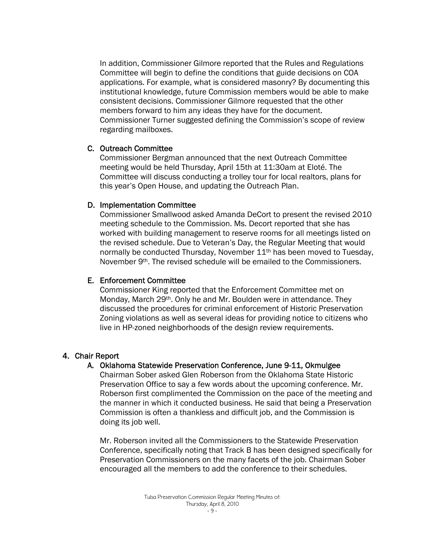In addition, Commissioner Gilmore reported that the Rules and Regulations Committee will begin to define the conditions that guide decisions on COA applications. For example, what is considered masonry? By documenting this institutional knowledge, future Commission members would be able to make consistent decisions. Commissioner Gilmore requested that the other members forward to him any ideas they have for the document. Commissioner Turner suggested defining the Commission's scope of review regarding mailboxes.

#### C. Outreach Committee

Commissioner Bergman announced that the next Outreach Committee meeting would be held Thursday, April 15th at 11:30am at Eloté. The Committee will discuss conducting a trolley tour for local realtors, plans for this year's Open House, and updating the Outreach Plan.

#### D. Implementation Committee

Commissioner Smallwood asked Amanda DeCort to present the revised 2010 meeting schedule to the Commission. Ms. Decort reported that she has worked with building management to reserve rooms for all meetings listed on the revised schedule. Due to Veteran's Day, the Regular Meeting that would normally be conducted Thursday, November 11<sup>th</sup> has been moved to Tuesday, November 9th. The revised schedule will be emailed to the Commissioners.

#### E. Enforcement Committee

Commissioner King reported that the Enforcement Committee met on Monday, March 29<sup>th</sup>. Only he and Mr. Boulden were in attendance. They discussed the procedures for criminal enforcement of Historic Preservation Zoning violations as well as several ideas for providing notice to citizens who live in HP-zoned neighborhoods of the design review requirements.

#### 4. Chair Report

#### A. Oklahoma Statewide Preservation Conference, June 9-11, Okmulgee

Chairman Sober asked Glen Roberson from the Oklahoma State Historic Preservation Office to say a few words about the upcoming conference. Mr. Roberson first complimented the Commission on the pace of the meeting and the manner in which it conducted business. He said that being a Preservation Commission is often a thankless and difficult job, and the Commission is doing its job well.

Mr. Roberson invited all the Commissioners to the Statewide Preservation Conference, specifically noting that Track B has been designed specifically for Preservation Commissioners on the many facets of the job. Chairman Sober encouraged all the members to add the conference to their schedules.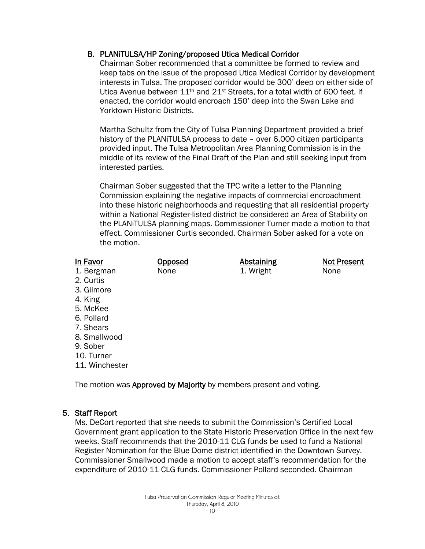# B. PLANiTULSA/HP Zoning/proposed Utica Medical Corridor

Chairman Sober recommended that a committee be formed to review and keep tabs on the issue of the proposed Utica Medical Corridor by development interests in Tulsa. The proposed corridor would be 300' deep on either side of Utica Avenue between 11<sup>th</sup> and 21<sup>st</sup> Streets, for a total width of 600 feet. If enacted, the corridor would encroach 150' deep into the Swan Lake and Yorktown Historic Districts.

Martha Schultz from the City of Tulsa Planning Department provided a brief history of the PLANiTULSA process to date – over 6,000 citizen participants provided input. The Tulsa Metropolitan Area Planning Commission is in the middle of its review of the Final Draft of the Plan and still seeking input from interested parties.

Chairman Sober suggested that the TPC write a letter to the Planning Commission explaining the negative impacts of commercial encroachment into these historic neighborhoods and requesting that all residential property within a National Register-listed district be considered an Area of Stability on the PLANiTULSA planning maps. Commissioner Turner made a motion to that effect. Commissioner Curtis seconded. Chairman Sober asked for a vote on the motion.

#### In Favor

**Opposed** None

Abstaining 1. Wright

Not Present None

- 1. Bergman 2. Curtis
- 3. Gilmore
- 4. King
- 5. McKee
- 6. Pollard
- 7. Shears
- 8. Smallwood
- 9. Sober
- 10. Turner
- 11. Winchester

The motion was Approved by Majority by members present and voting.

# 5. Staff Report

Ms. DeCort reported that she needs to submit the Commission's Certified Local Government grant application to the State Historic Preservation Office in the next few weeks. Staff recommends that the 2010-11 CLG funds be used to fund a National Register Nomination for the Blue Dome district identified in the Downtown Survey. Commissioner Smallwood made a motion to accept staff's recommendation for the expenditure of 2010-11 CLG funds. Commissioner Pollard seconded. Chairman